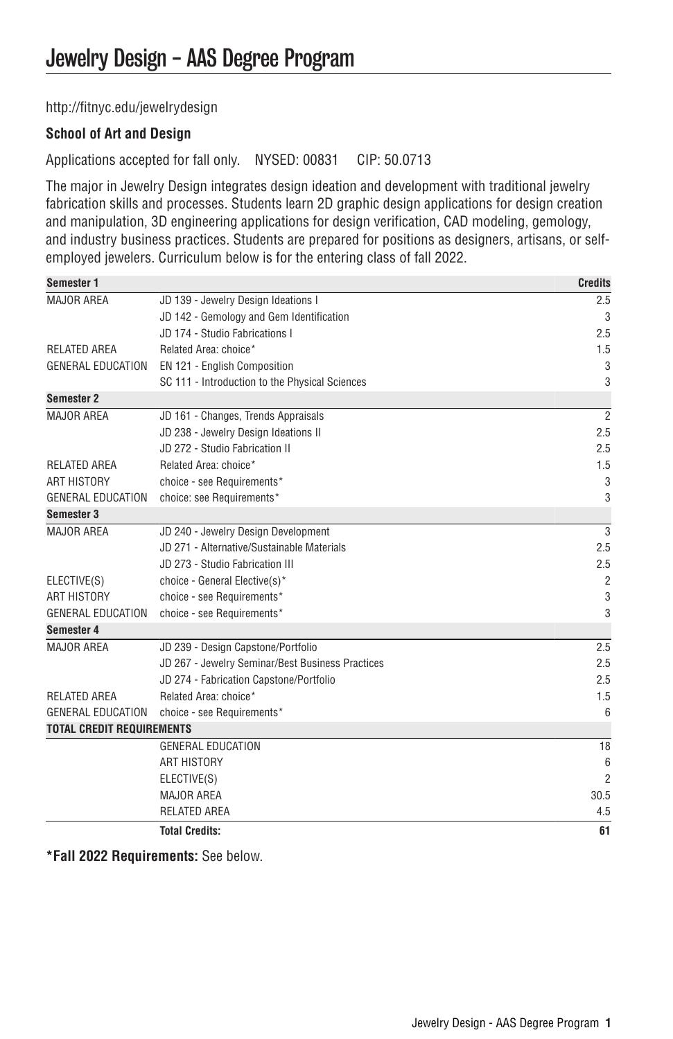[http://fitnyc.edu/jewelrydesign](http://fitnyc.edu/jewelrydesign/)

## **School of Art and Design**

Applications accepted for fall only. NYSED: 00831 CIP: 50.0713

The major in Jewelry Design integrates design ideation and development with traditional jewelry fabrication skills and processes. Students learn 2D graphic design applications for design creation and manipulation, 3D engineering applications for design verification, CAD modeling, gemology, and industry business practices. Students are prepared for positions as designers, artisans, or selfemployed jewelers. Curriculum below is for the entering class of fall 2022.

| Semester 1                       |                                                  | <b>Credits</b> |
|----------------------------------|--------------------------------------------------|----------------|
| <b>MAJOR AREA</b>                | JD 139 - Jewelry Design Ideations I              | 2.5            |
|                                  | JD 142 - Gemology and Gem Identification         | 3              |
|                                  | JD 174 - Studio Fabrications I                   | 2.5            |
| <b>RELATED AREA</b>              | Related Area: choice*                            | 1.5            |
| <b>GENERAL EDUCATION</b>         | EN 121 - English Composition                     | 3              |
|                                  | SC 111 - Introduction to the Physical Sciences   | 3              |
| <b>Semester 2</b>                |                                                  |                |
| MAJOR AREA                       | JD 161 - Changes, Trends Appraisals              | $\overline{2}$ |
|                                  | JD 238 - Jewelry Design Ideations II             | 2.5            |
|                                  | JD 272 - Studio Fabrication II                   | 2.5            |
| <b>RELATED AREA</b>              | Related Area: choice*                            | 1.5            |
| <b>ART HISTORY</b>               | choice - see Requirements*                       | 3              |
| <b>GENERAL EDUCATION</b>         | choice: see Requirements*                        | 3              |
| Semester 3                       |                                                  |                |
| <b>MAJOR AREA</b>                | JD 240 - Jewelry Design Development              | 3              |
|                                  | JD 271 - Alternative/Sustainable Materials       | 2.5            |
|                                  | JD 273 - Studio Fabrication III                  | 2.5            |
| ELECTIVE(S)                      | choice - General Elective(s)*                    | $\overline{2}$ |
| <b>ART HISTORY</b>               | choice - see Requirements*                       | 3              |
| <b>GENERAL EDUCATION</b>         | choice - see Requirements*                       | 3              |
| Semester 4                       |                                                  |                |
| <b>MAJOR AREA</b>                | JD 239 - Design Capstone/Portfolio               | 2.5            |
|                                  | JD 267 - Jewelry Seminar/Best Business Practices | 2.5            |
|                                  | JD 274 - Fabrication Capstone/Portfolio          | 2.5            |
| <b>RELATED AREA</b>              | Related Area: choice*                            | 1.5            |
| <b>GENERAL EDUCATION</b>         | choice - see Requirements*                       | 6              |
| <b>TOTAL CREDIT REQUIREMENTS</b> |                                                  |                |
|                                  | <b>GENERAL EDUCATION</b>                         | 18             |
|                                  | <b>ART HISTORY</b>                               | 6              |
|                                  | ELECTIVE(S)                                      | $\overline{2}$ |
|                                  | <b>MAJOR AREA</b>                                | 30.5           |
|                                  | <b>RELATED AREA</b>                              | 4.5            |
|                                  | <b>Total Credits:</b>                            | 61             |

**\*Fall 2022 Requirements:** See below.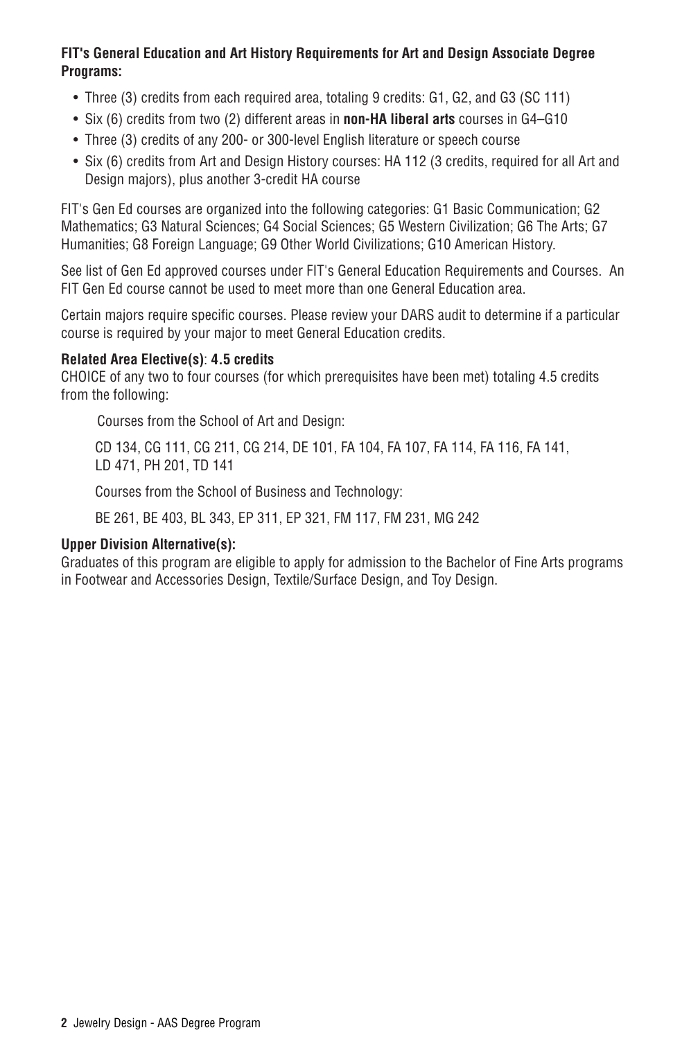## **FIT's General Education and Art History Requirements for Art and Design Associate Degree Programs:**

- Three (3) credits from each required area, totaling 9 credits: G1, G2, and G3 (SC 111)
- Six (6) credits from two (2) different areas in **non-HA liberal arts** courses in G4–G10
- Three (3) credits of any 200- or 300-level English literature or speech course
- Six (6) credits from Art and Design History courses: HA 112 (3 credits, required for all Art and Design majors), plus another 3-credit HA course

FIT's Gen Ed courses are organized into the following categories: G1 Basic Communication; G2 Mathematics; G3 Natural Sciences; G4 Social Sciences; G5 Western Civilization; G6 The Arts; G7 Humanities; G8 Foreign Language; G9 Other World Civilizations; G10 American History.

See list of Gen Ed approved courses under [FIT's General Education Requirements and Courses](http://catalog.fitnyc.edu/undergraduate/generaleducationrequirements/). An FIT Gen Ed course cannot be used to meet more than one General Education area.

Certain majors require specific courses. Please review your DARS audit to determine if a particular course is required by your major to meet General Education credits.

## **Related Area Elective(s)**: **4.5 credits**

CHOICE of any two to four courses (for which prerequisites have been met) totaling 4.5 credits from the following:

Courses from the School of Art and Design:

CD 134, CG 111, CG 211, CG 214, DE 101, FA 104, FA 107, FA 114, FA 116, FA 141, LD 471, PH 201, TD 141

Courses from the School of Business and Technology:

BE 261, BE 403, BL 343, EP 311, EP 321, FM 117, FM 231, MG 242

## **Upper Division Alternative(s):**

Graduates of this program are eligible to apply for admission to the Bachelor of Fine Arts programs in [Footwear and Accessories Design,](http://catalog.fitnyc.edu/undergraduate/majors/baccalaureatedegreeprograms/accessoriesdesignmajor/) [Textile/Surface Design](http://catalog.fitnyc.edu/undergraduate/majors/baccalaureatedegreeprograms/textilesurfacedesignmajor/), and [Toy Design.](http://catalog.fitnyc.edu/undergraduate/majors/baccalaureatedegreeprograms/toydesignmajor/)